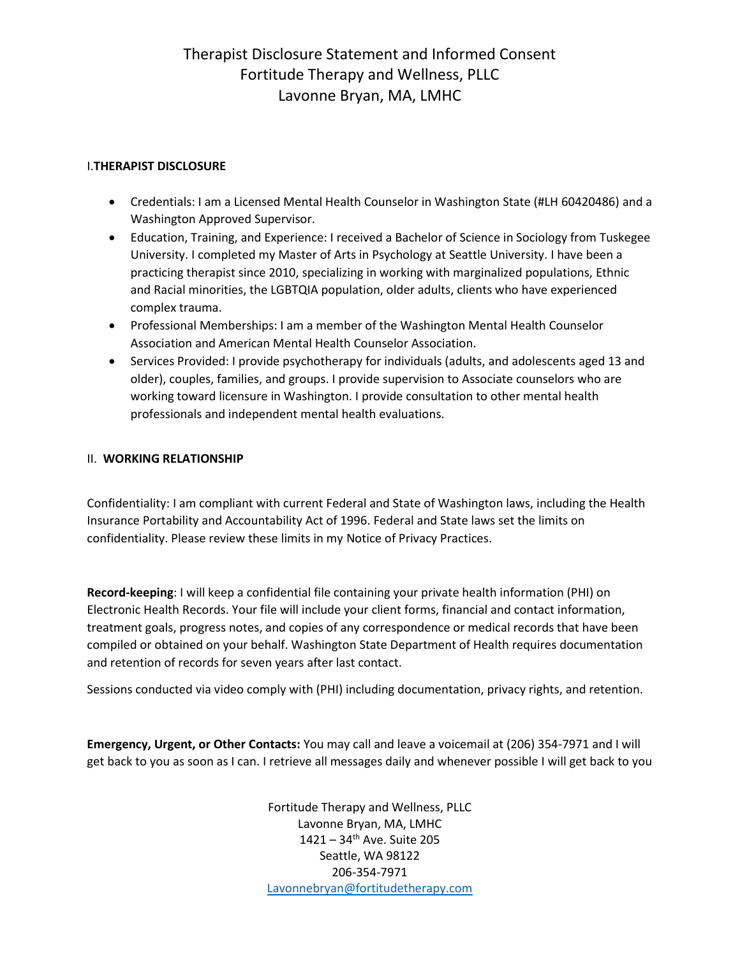# Therapist Disclosure Statement and Informed Consent Fortitude Therapy and Wellness, PLLC Lavonne Bryan, MA, LMHC

### I.**THERAPIST DISCLOSURE**

- Credentials: I am a Licensed Mental Health Counselor in Washington State (#LH 60420486) and a Washington Approved Supervisor.
- Education, Training, and Experience: I received a Bachelor of Science in Sociology from Tuskegee University. I completed my Master of Arts in Psychology at Seattle University. I have been a practicing therapist since 2010, specializing in working with marginalized populations, Ethnic and Racial minorities, the LGBTQIA population, older adults, clients who have experienced complex trauma.
- Professional Memberships: I am a member of the Washington Mental Health Counselor Association and American Mental Health Counselor Association.
- Services Provided: I provide psychotherapy for individuals (adults, and adolescents aged 13 and older), couples, families, and groups. I provide supervision to Associate counselors who are working toward licensure in Washington. I provide consultation to other mental health professionals and independent mental health evaluations.

### II. **WORKING RELATIONSHIP**

Confidentiality: I am compliant with current Federal and State of Washington laws, including the Health Insurance Portability and Accountability Act of 1996. Federal and State laws set the limits on confidentiality. Please review these limits in my Notice of Privacy Practices.

**Record-keeping**: I will keep a confidential file containing your private health information (PHI) on Electronic Health Records. Your file will include your client forms, financial and contact information, treatment goals, progress notes, and copies of any correspondence or medical records that have been compiled or obtained on your behalf. Washington State Department of Health requires documentation and retention of records for seven years after last contact.

Sessions conducted via video comply with (PHI) including documentation, privacy rights, and retention.

**Emergency, Urgent, or Other Contacts:** You may call and leave a voicemail at (206) 354-7971 and I will get back to you as soon as I can. I retrieve all messages daily and whenever possible I will get back to you

> Fortitude Therapy and Wellness, PLLC Lavonne Bryan, MA, LMHC  $1421 - 34$ <sup>th</sup> Ave. Suite 205 Seattle, WA 98122 206-354-7971 [Lavonnebryan@fortitudetherapy.com](mailto:Lavonnebryan@fortitudetherapy.com)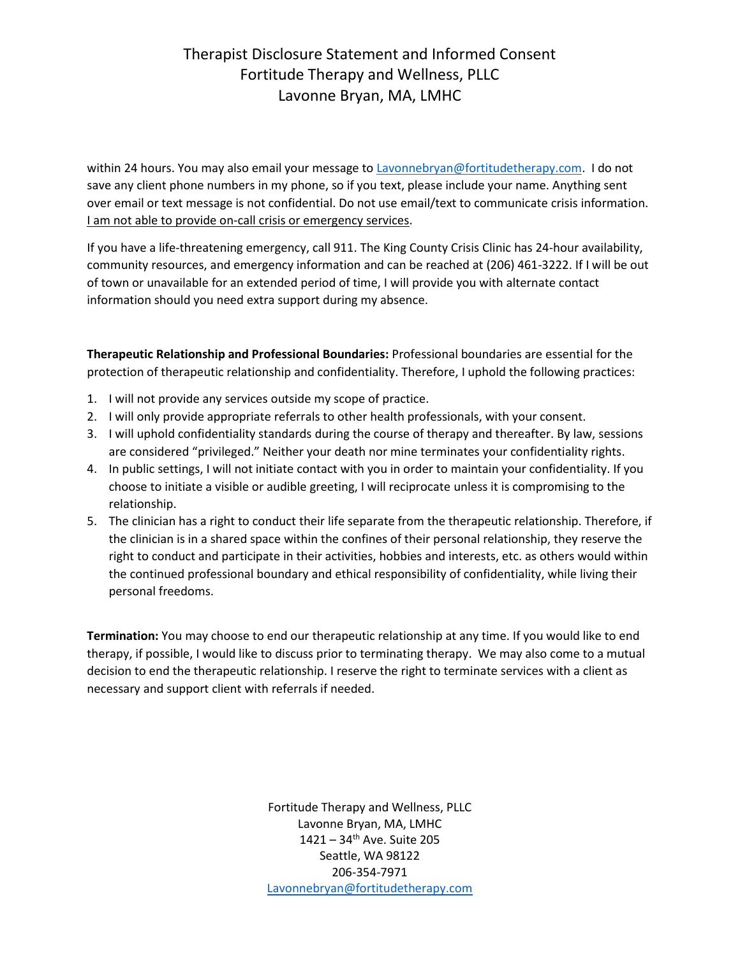# Therapist Disclosure Statement and Informed Consent Fortitude Therapy and Wellness, PLLC Lavonne Bryan, MA, LMHC

within 24 hours. You may also email your message t[o Lavonnebryan@fortitudetherapy.com.](mailto:Lavonnebryan@fortitudetherapy.com) I do not save any client phone numbers in my phone, so if you text, please include your name. Anything sent over email or text message is not confidential. Do not use email/text to communicate crisis information. I am not able to provide on-call crisis or emergency services.

If you have a life-threatening emergency, call 911. The King County Crisis Clinic has 24-hour availability, community resources, and emergency information and can be reached at (206) 461-3222. If I will be out of town or unavailable for an extended period of time, I will provide you with alternate contact information should you need extra support during my absence.

**Therapeutic Relationship and Professional Boundaries:** Professional boundaries are essential for the protection of therapeutic relationship and confidentiality. Therefore, I uphold the following practices:

- 1. I will not provide any services outside my scope of practice.
- 2. I will only provide appropriate referrals to other health professionals, with your consent.
- 3. I will uphold confidentiality standards during the course of therapy and thereafter. By law, sessions are considered "privileged." Neither your death nor mine terminates your confidentiality rights.
- 4. In public settings, I will not initiate contact with you in order to maintain your confidentiality. If you choose to initiate a visible or audible greeting, I will reciprocate unless it is compromising to the relationship.
- 5. The clinician has a right to conduct their life separate from the therapeutic relationship. Therefore, if the clinician is in a shared space within the confines of their personal relationship, they reserve the right to conduct and participate in their activities, hobbies and interests, etc. as others would within the continued professional boundary and ethical responsibility of confidentiality, while living their personal freedoms.

**Termination:** You may choose to end our therapeutic relationship at any time. If you would like to end therapy, if possible, I would like to discuss prior to terminating therapy. We may also come to a mutual decision to end the therapeutic relationship. I reserve the right to terminate services with a client as necessary and support client with referrals if needed.

> Fortitude Therapy and Wellness, PLLC Lavonne Bryan, MA, LMHC  $1421 - 34$ <sup>th</sup> Ave. Suite 205 Seattle, WA 98122 206-354-7971 [Lavonnebryan@fortitudetherapy.com](mailto:Lavonnebryan@fortitudetherapy.com)